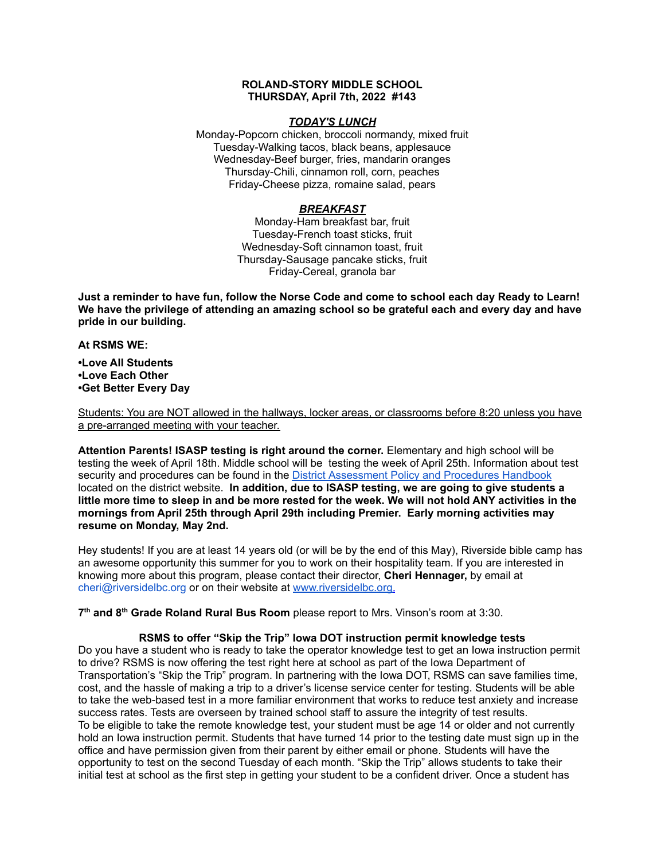### **ROLAND-STORY MIDDLE SCHOOL THURSDAY, April 7th, 2022 #143**

### *TODAY'S LUNCH*

Monday-Popcorn chicken, broccoli normandy, mixed fruit Tuesday-Walking tacos, black beans, applesauce Wednesday-Beef burger, fries, mandarin oranges Thursday-Chili, cinnamon roll, corn, peaches Friday-Cheese pizza, romaine salad, pears

# *BREAKFAST*

Monday-Ham breakfast bar, fruit Tuesday-French toast sticks, fruit Wednesday-Soft cinnamon toast, fruit Thursday-Sausage pancake sticks, fruit Friday-Cereal, granola bar

Just a reminder to have fun, follow the Norse Code and come to school each day Ready to Learn! **We have the privilege of attending an amazing school so be grateful each and every day and have pride in our building.**

#### **At RSMS WE:**

**•Love All Students •Love Each Other •Get Better Every Day**

Students: You are NOT allowed in the hallways, locker areas, or classrooms before 8:20 unless you have a pre-arranged meeting with your teacher.

**Attention Parents! ISASP testing is right around the corner.** Elementary and high school will be testing the week of April 18th. Middle school will be testing the week of April 25th. Information about test security and procedures can be found in the District [Assessment](https://rolandstory.school/media/Michelle%20Soderstrum/RSCSD_District_Assessment_Poli%20-%20Copy%203.pdf) Policy and Procedures Handbook located on the district website. **In addition, due to ISASP testing, we are going to give students a** little more time to sleep in and be more rested for the week. We will not hold ANY activities in the **mornings from April 25th through April 29th including Premier. Early morning activities may resume on Monday, May 2nd.**

Hey students! If you are at least 14 years old (or will be by the end of this May), Riverside bible camp has an awesome opportunity this summer for you to work on their hospitality team. If you are interested in knowing more about this program, please contact their director, **Cheri Hennager,** by email at cheri@riversidelbc.org or on their website at [www.riversidelbc.org.](http://www.riversidelbc.org/)

**7 th and 8 th Grade Roland Rural Bus Room** please report to Mrs. Vinson's room at 3:30.

# **RSMS to offer "Skip the Trip" Iowa DOT instruction permit knowledge tests**

Do you have a student who is ready to take the operator knowledge test to get an Iowa instruction permit to drive? RSMS is now offering the test right here at school as part of the Iowa Department of Transportation's "Skip the Trip" program. In partnering with the Iowa DOT, RSMS can save families time, cost, and the hassle of making a trip to a driver's license service center for testing. Students will be able to take the web-based test in a more familiar environment that works to reduce test anxiety and increase success rates. Tests are overseen by trained school staff to assure the integrity of test results. To be eligible to take the remote knowledge test, your student must be age 14 or older and not currently hold an Iowa instruction permit. Students that have turned 14 prior to the testing date must sign up in the office and have permission given from their parent by either email or phone. Students will have the opportunity to test on the second Tuesday of each month. "Skip the Trip" allows students to take their initial test at school as the first step in getting your student to be a confident driver. Once a student has